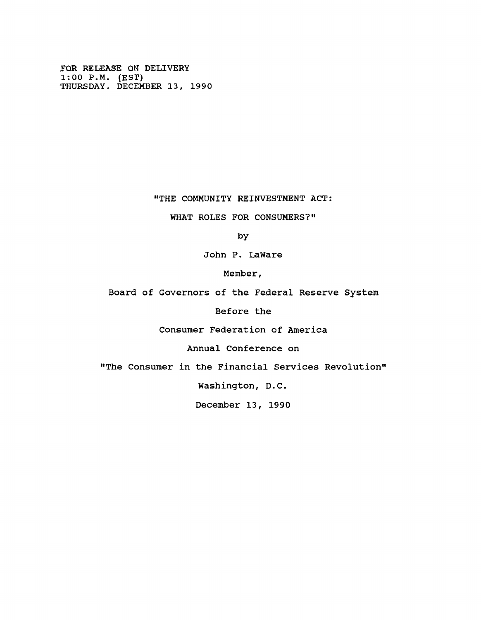**FOR RELEASE ON DELIVERY 1:00 P.M. (EST) THURSDAY. DECEMBER 13, 1990**

### **"THE COMMUNITY REINVESTMENT ACT:**

## **WHAT ROLES FOR CONSUMERS?"**

**by**

**John P. LaWare**

**Member,**

**Board of Governors of the Federal Reserve System**

**Before the**

**Consumer Federation of America**

**Annual Conference on**

**"The Consumer in the Financial Services Revolution"**

**Washington, D.C.**

**December 13, 1990**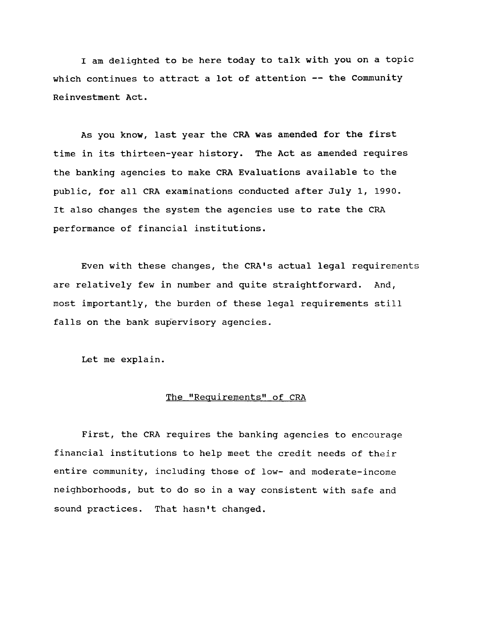**I am delighted to be here today to talk with you on a topic which continues to attract a lot of attention — the Community Reinvestment Act.**

**As you know, last year the CRA was amended for the first time in its thirteen-year history. The Act as amended requires the banking agencies to make CRA Evaluations available to the public, for all CRA examinations conducted after July 1, 1990. It also changes the system the agencies use to rate the CRA performance of financial institutions.**

**Even with these changes, the CRA's actual legal requirements are relatively few in number and quite straightforward. And, most importantly, the burden of these legal requirements still falls on the bank supervisory agencies.**

**Let me explain.**

### The "Requirements" of CRA

**First, the CRA requires the banking agencies to encourage financial institutions to help meet the credit needs of their entire community, including those of low- and moderate-income neighborhoods, but to do so in a way consistent with safe and sound practices. That hasn't changed.**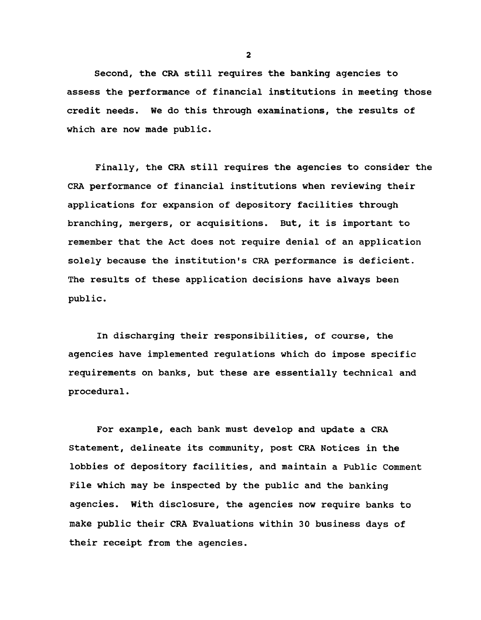**Second, the CRA still requires the banking agencies to assess the performance of financial institutions in meeting those credit needs. We do this through examinations, the results of which are now made public.**

**Finally, the CRA still requires the agencies to consider the CRA performance of financial institutions when reviewing their applications for expansion of depository facilities through branching, mergers, or acquisitions. But, it is important to remember that the Act does not require denial of an application solely because the institution's CRA performance is deficient. The results of these application decisions have always been public.**

**In discharging their responsibilities, of course, the agencies have implemented regulations which do impose specific requirements on banks, but these are essentially technical and procedural.**

**For example, each bank must develop and update a CRA Statement, delineate its community, post CRA Notices in the lobbies of depository facilities, and maintain a Public Comment File which may be inspected by the public and the banking agencies. With disclosure, the agencies now require banks to make public their CRA Evaluations within 30 business days of their receipt from the agencies.**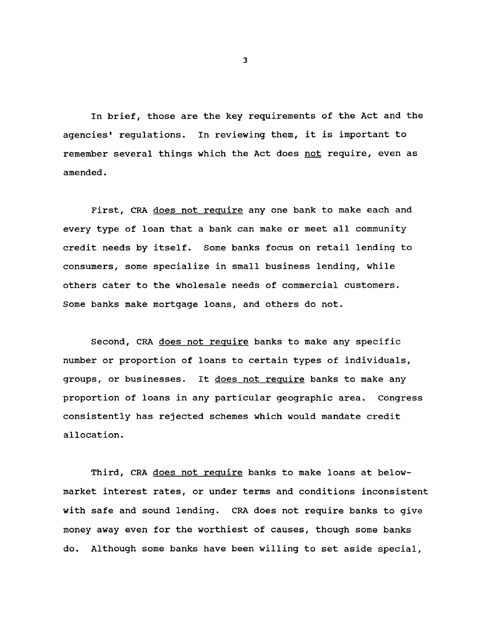**In brief, those are the key requirements of the Act and the agencies' regulations. In reviewing them, it is important to remember several things which the Act does not require, even as amended.**

**First, CRA does not require any one bank to make each and every type of loan that a bank can make or meet all community credit needs by itself. Some banks focus on retail lending to consumers, some specialize in small business lending, while others cater to the wholesale needs of commercial customers. Some banks make mortgage loans, and others do not.**

**Second, CRA does not require banks to make any specific number or proportion of loans to certain types of individuals, groups, or businesses. It does not require banks to make any proportion of loans in any particular geographic area. Congress consistently has rejected schemes which would mandate credit allocation.**

**Third, CRA does not require banks to make loans at belowmarket interest rates, or under terms and conditions inconsistent with safe and sound lending. CRA does not require banks to give money away even for the worthiest of causes, though some banks do. Although some banks have been willing to set aside special,**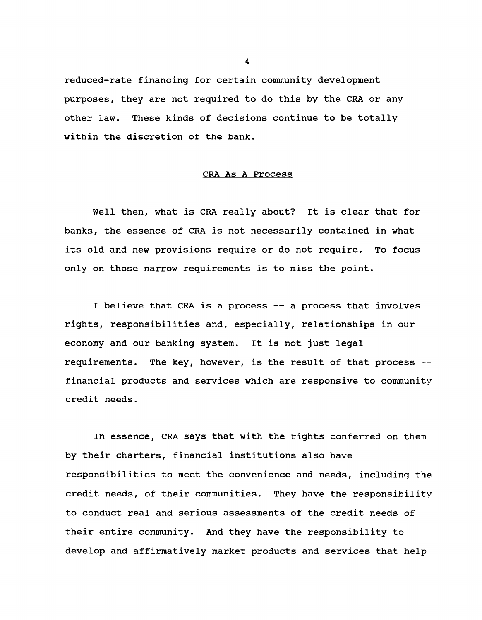**reduced-rate financing for certain community development purposes, they are not required to do this by the CRA or any other law. These kinds of decisions continue to be totally within the discretion of the bank.**

#### **CRA As A Process**

**Well then, what is CRA really about? It is clear that for banks, the essence of CRA is not necessarily contained in what its old and new provisions require or do not require. To focus only on those narrow requirements is to miss the point.**

**I believe that CRA is a process — a process that involves rights, responsibilities and, especially, relationships in our economy and our banking system. It is not just legal requirements. The key, however, is the result of that process financial products and services which are responsive to community credit needs.**

**In essence, CRA says that with the rights conferred on them by their charters, financial institutions also have responsibilities to meet the convenience and needs, including the credit needs, of their communities. They have the responsibility to conduct real and serious assessments of the credit needs of their entire community. And they have the responsibility to develop and affirmatively market products and services that help**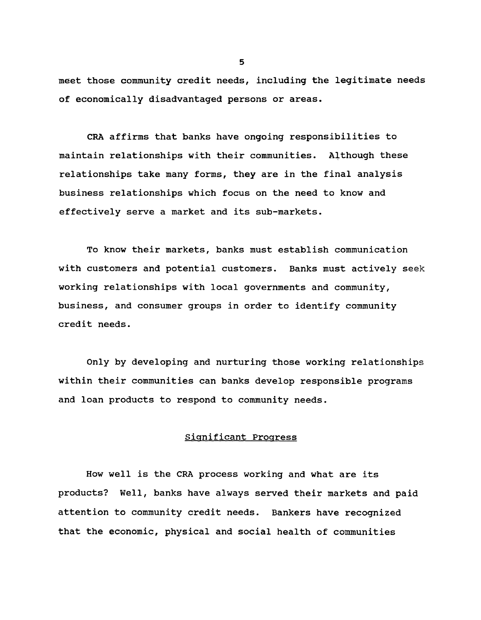**meet those community credit needs, including the legitimate needs of economically disadvantaged persons or areas.**

**CRA affirms that banks have ongoing responsibilities to maintain relationships with their communities. Although these relationships take many forms, they are in the final analysis business relationships which focus on the need to know and effectively serve a market and its sub-markets.**

**To know their markets, banks must establish communication with customers and potential customers. Banks must actively seek working relationships with local governments and community, business, and consumer groups in order to identify community credit needs.**

**Only by developing and nurturing those working relationships within their communities can banks develop responsible programs and loan products to respond to community needs.**

## **Significant Progress**

**How well is the CRA process working and what are its products? Well, banks have always served their markets and paid attention to community credit needs. Bankers have recognized that the economic, physical and social health of communities**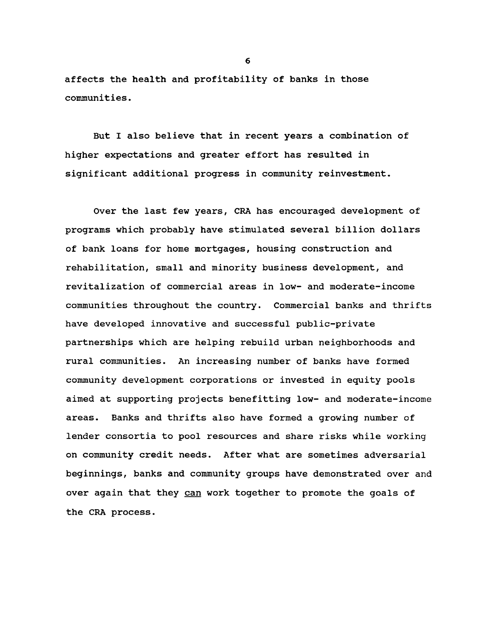**affects the health and profitability of banks in those communities.**

**But I also believe that in recent years a combination of higher expectations and greater effort has resulted in significant additional progress in community reinvestment.**

**Over the last few years, CRA has encouraged development of programs which probably have stimulated several billion dollars of bank loans for home mortgages, housing construction and rehabilitation, small and minority business development, and revitalization of commercial areas in low- and moderate-income communities throughout the country. Commercial banks and thrifts have developed innovative and successful public-private partnerships which are helping rebuild urban neighborhoods and rural communities. An increasing number of banks have formed community development corporations or invested in equity pools aimed at supporting projects benefitting low- and moderate-income areas. Banks and thrifts also have formed a growing number of lender consortia to pool resources and share risks while working on community credit needs. After what are sometimes adversarial beginnings, banks and community groups have demonstrated over and over again that they can work together to promote the goals of the CRA process.**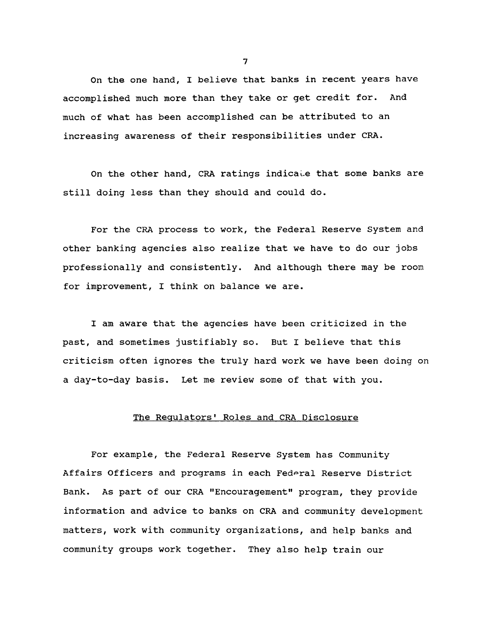**On the one hand, I believe that banks in recent years have accomplished much more than they take or get credit for. And much of what has been accomplished can be attributed to an increasing awareness of their responsibilities under CRA.**

**On the other hand, CRA ratings indicate that some banks are still doing less than they should and could do.**

**For the CRA process to work, the Federal Reserve System and other banking agencies also realize that we have to do our jobs professionally and consistently. And although there may be room for improvement, I think on balance we are.**

**I am aware that the agencies have been criticized in the past, and sometimes justifiably so. But I believe that this criticism often ignores the truly hard work we have been doing on a day-to-day basis. Let me review some of that with you.**

# **The Regulators1 Roles and CRA Disclosure**

**For example, the Federal Reserve System has Community Affairs Officers and programs in each Federal Reserve District Bank. As part of our CRA "Encouragement" program, they provide information and advice to banks on CRA and community development matters, work with community organizations, and help banks and community groups work together. They also help train our**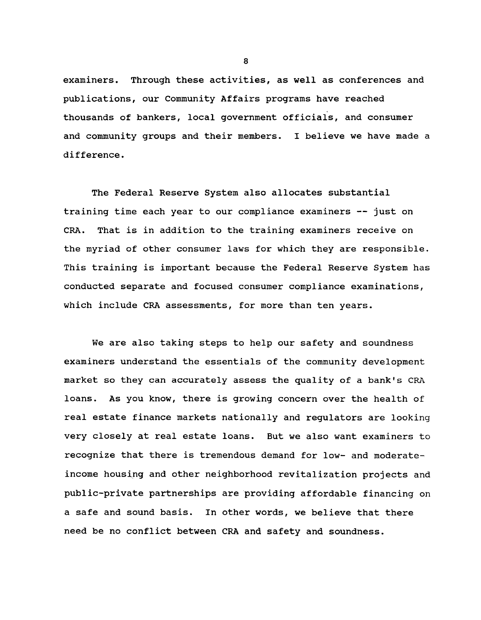**examiners. Through these activities, as well as conferences and publications, our Community Affairs programs have reached thousands of bankers, local government officials, and consumer and community groups and their members. I believe we have made a difference.**

**The Federal Reserve System also allocates substantial training time each year to our compliance examiners — just on CRA. That is in addition to the training examiners receive on the myriad of other consumer laws for which they are responsible. This training is important because the Federal Reserve System has conducted separate and focused consumer compliance examinations, which include CRA assessments, for more than ten years.**

**We are also taking steps to help our safety and soundness examiners understand the essentials of the community development market so they can accurately assess the quality of a bank's CRA loans. As you know, there is growing concern over the health of real estate finance markets nationally and regulators are looking very closely at real estate loans. But we also want examiners to recognize that there is tremendous demand for low- and moderateincome housing and other neighborhood revitalization projects and public-private partnerships are providing affordable financing on a safe and sound basis. In other words, we believe that there need be no conflict between CRA and safety and soundness.**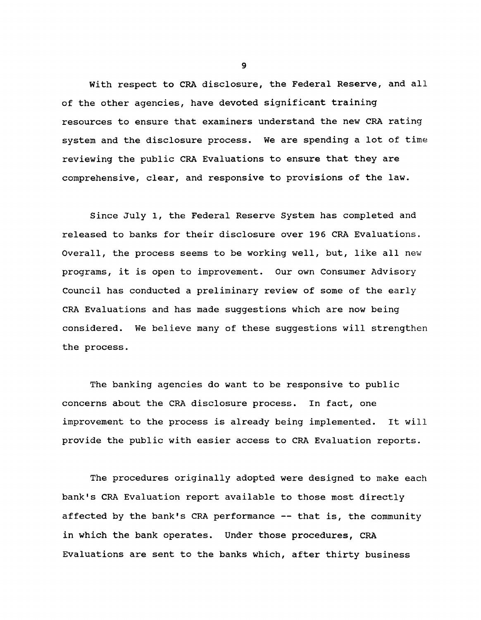**With respect to CRA disclosure, the Federal Reserve, and all of the other agencies, have devoted significant training resources to ensure that examiners understand the new CRA rating system and the disclosure process. We are spending a lot of time reviewing the public CRA Evaluations to ensure that they are comprehensive, clear, and responsive to provisions of the law.**

**Since July 1, the Federal Reserve System has completed and released to banks for their disclosure over 196 CRA Evaluations. Overall, the process seems to be working well, but, like all new programs, it is open to improvement. Our own Consumer Advisory Council has conducted a preliminary review of some of the early CRA Evaluations and has made suggestions which are now being considered. We believe many of these suggestions will strengthen the process.**

**The banking agencies do want to be responsive to public concerns about the CRA disclosure process. In fact, one improvement to the process is already being implemented. It will provide the public with easier access to CRA Evaluation reports.**

**The procedures originally adopted were designed to make each bank's CRA Evaluation report available to those most directly affected by the bank's CRA performance — that is, the community in which the bank operates. Under those procedures, CRA Evaluations are sent to the banks which, after thirty business**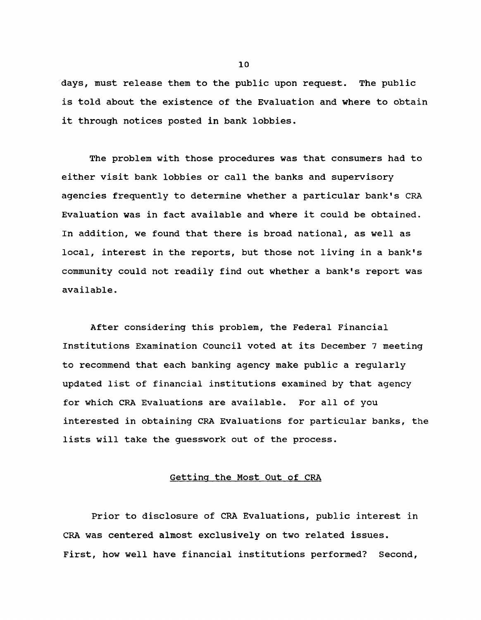**days, must release them to the public upon request. The public is told about the existence of the Evaluation and where to obtain it through notices posted in bank lobbies.**

**The problem with those procedures was that consumers had to either visit bank lobbies or call the banks and supervisory agencies frequently to determine whether a particular bank's CRA Evaluation was in fact available and where it could be obtained. In addition, we found that there is broad national, as well as local, interest in the reports, but those not living in a bank's community could not readily find out whether a bank's report was available.**

**After considering this problem, the Federal Financial Institutions Examination Council voted at its December 7 meeting to recommend that each banking agency make public a regularly updated list of financial institutions examined by that agency for which CRA Evaluations are available. For all of you interested in obtaining CRA Evaluations for particular banks, the lists will take the guesswork out of the process.**

#### **Getting the Most Out of CRA**

**Prior to disclosure of CRA Evaluations, public interest in CRA was centered almost exclusively on two related issues. First, how well have financial institutions performed? Second,**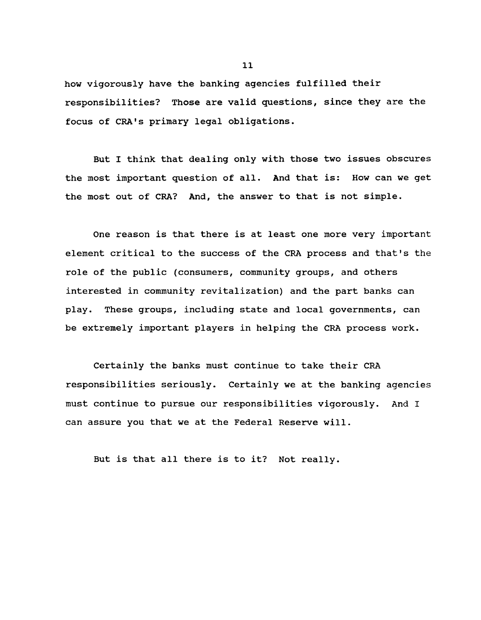**how vigorously have the banking agencies fulfilled their responsibilities? Those are valid questions, since they are the focus of CRA's primary legal obligations.**

**But I think that dealing only with those two issues obscures the most important question of all. And that is: How can we get the most out of CRA? And, the answer to that is not simple.**

**One reason is that there is at least one more very important element critical to the success of the CRA process and that's the role of the public (consumers, community groups, and others interested in community revitalization) and the part banks can play. These groups, including state and local governments, can be extremely important players in helping the CRA process work.**

**Certainly the banks must continue to take their CRA responsibilities seriously. Certainly we at the banking agencies must continue to pursue our responsibilities vigorously. And I can assure you that we at the Federal Reserve will.**

**But is that all there is to it? Not really.**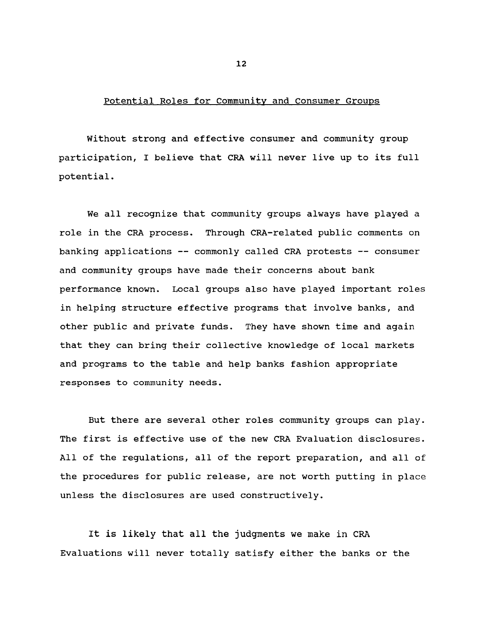#### **Potential Roles for Community and Consumer Groups**

**Without strong and effective consumer and community group participation, I believe that CRA will never live up to its full potential.**

**We all recognize that community groups always have played a role in the CRA process. Through CRA-related public comments on banking applications — commonly called CRA protests — consumer and community groups have made their concerns about bank performance known. Local groups also have played important roles in helping structure effective programs that involve banks, and other public and private funds. They have shown time and again that they can bring their collective knowledge of local markets and programs to the table and help banks fashion appropriate responses to community needs.**

**But there are several other roles community groups can play. The first is effective use of the new CRA Evaluation disclosures. All of the regulations, all of the report preparation, and all of the procedures for public release, are not worth putting in place unless the disclosures are used constructively.**

**It is likely that all the judgments we make in CRA Evaluations will never totally satisfy either the banks or the**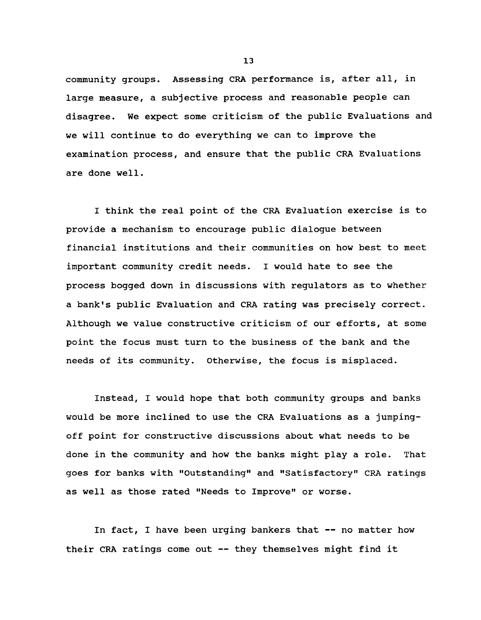**community groups. Assessing CRA performance is, after all, in large measure, a subjective process and reasonable people can disagree. We expect some criticism of the public Evaluations and we will continue to do everything we can to improve the examination process, and ensure that the public CRA Evaluations are done well.**

**I think the real point of the CRA Evaluation exercise is to provide a mechanism to encourage public dialogue between financial institutions and their communities on how best to meet important community credit needs. I would hate to see the process bogged down in discussions with regulators as to whether a bank's public Evaluation and CRA rating was precisely correct. Although we value constructive criticism of our efforts, at some point the focus must turn to the business of the bank and the needs of its community. Otherwise, the focus is misplaced.**

**Instead, I would hope that both community groups and banks would be more inclined to use the CRA Evaluations as a jumpingoff point for constructive discussions about what needs to be done in the community and how the banks might play a role. That goes for banks with "Outstanding" and "Satisfactory" CRA ratings as well as those rated "Needs to Improve" or worse.**

**In fact, I have been urging bankers that — no matter how their CRA ratings come out — they themselves might find it**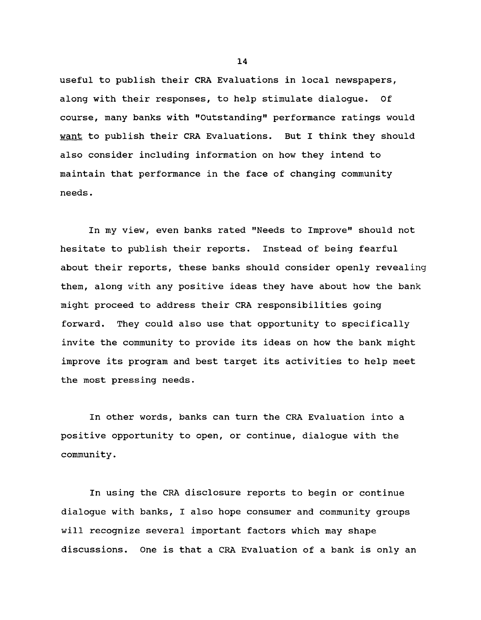**useful to publish their CRA Evaluations in local newspapers, along with their responses, to help stimulate dialogue. Of course, many banks with "Outstanding" performance ratings would want to publish their CRA Evaluations. But I think they should also consider including information on how they intend to maintain that performance in the face of changing community needs.**

**In my view, even banks rated "Needs to Improve" should not hesitate to publish their reports. Instead of being fearful about their reports, these banks should consider openly revealing them, along with any positive ideas they have about how the bank might proceed to address their CRA responsibilities going forward. They could also use that opportunity to specifically invite the community to provide its ideas on how the bank might improve its program and best target its activities to help meet the most pressing needs.**

**In other words, banks can turn the CRA Evaluation into a positive opportunity to open, or continue, dialogue with the community.**

**In using the CRA disclosure reports to begin or continue dialogue with banks, I also hope consumer and community groups will recognize several important factors which may shape discussions. One is that a CRA Evaluation of a bank is only an**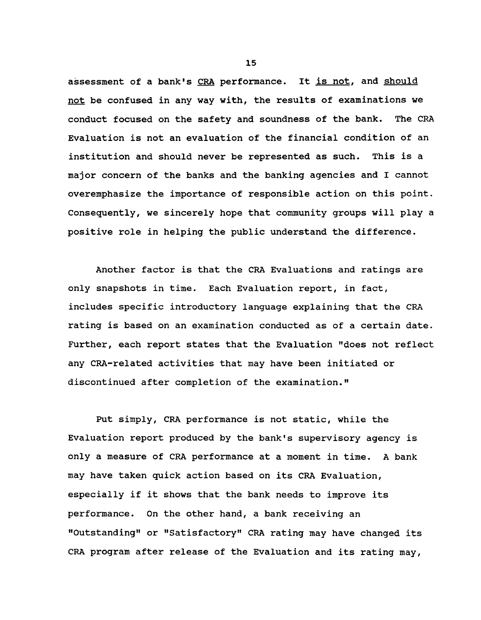**assessment of a bank's CRA performance. It is not, and should not be confused in any way with, the results of examinations we conduct focused on the safety and soundness of the bank. The CRA Evaluation is not an evaluation of the financial condition of an institution and should never be represented as such. This is a major concern of the banks and the banking agencies and I cannot overemphasize the importance of responsible action on this point. Consequently, we sincerely hope that community groups will play a positive role in helping the public understand the difference.**

**Another factor is that the CRA Evaluations and ratings are only snapshots in time. Each Evaluation report, in fact, includes specific introductory language explaining that the CRA rating is based on an examination conducted as of a certain date. Further, each report states that the Evaluation "does not reflect any CRA-related activities that may have been initiated or discontinued after completion of the examination."**

**Put simply, CRA performance is not static, while the Evaluation report produced by the bank's supervisory agency is only a measure of CRA performance at a moment in time. A bank may have taken quick action based on its CRA Evaluation, especially if it shows that the bank needs to improve its performance. On the other hand, a bank receiving an "Outstanding" or "Satisfactory" CRA rating may have changed its CRA program after release of the Evaluation and its rating may,**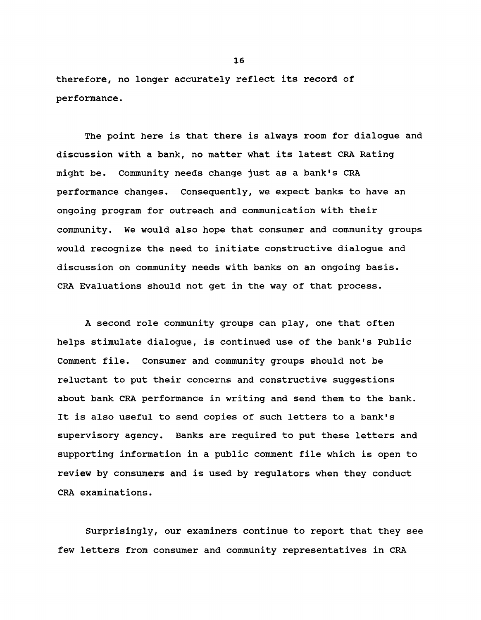**therefore, no longer accurately reflect its record of performance.**

**The point here is that there is always room for dialogue and discussion with a bank, no matter what its latest CRA Rating might be. Community needs change just as a bank's CRA performance changes. Consequently, we expect banks to have an ongoing program for outreach and communication with their community. We would also hope that consumer and community groups would recognize the need to initiate constructive dialogue and discussion on community needs with banks on an ongoing basis. CRA Evaluations should not get in the way of that process.**

**A second role community groups can play, one that often helps stimulate dialogue, is continued use of the bank's Public Comment file. Consumer and community groups should not be reluctant to put their concerns and constructive suggestions about bank CRA performance in writing and send them to the bank. It is also useful to send copies of such letters to a bank's supervisory agency. Banks are required to put these letters and supporting information in a public comment file which is open to review by consumers and is used by regulators when they conduct CRA examinations.**

**Surprisingly, our examiners continue to report that they see few letters from consumer and community representatives in CRA**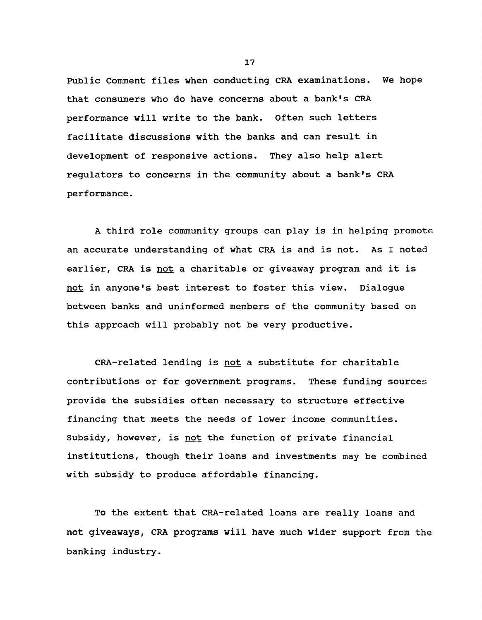**Public Comment files when conducting CRA examinations. We hope that consumers who do have concerns about a bank's CRA performance will write to the bank. Often such letters facilitate discussions with the banks and can result in development of responsive actions. They also help alert regulators to concerns in the community about a bank's CRA performance.**

**A third role community groups can play is in helping promote an accurate understanding of what CRA is and is not. As I noted earlier, CRA is not a charitable or giveaway program and it is not in anyone's best interest to foster this view. Dialogue between banks and uninformed members of the community based on this approach will probably not be very productive.**

**CRA-related lending is not a substitute for charitable contributions or for government programs. These funding sources provide the subsidies often necessary to structure effective financing that meets the needs of lower income communities. Subsidy, however, is not the function of private financial institutions, though their loans and investments may be combined with subsidy to produce affordable financing.**

**To the extent that CRA-related loans are really loans and not giveaways, CRA programs will have much wider support from the banking industry.**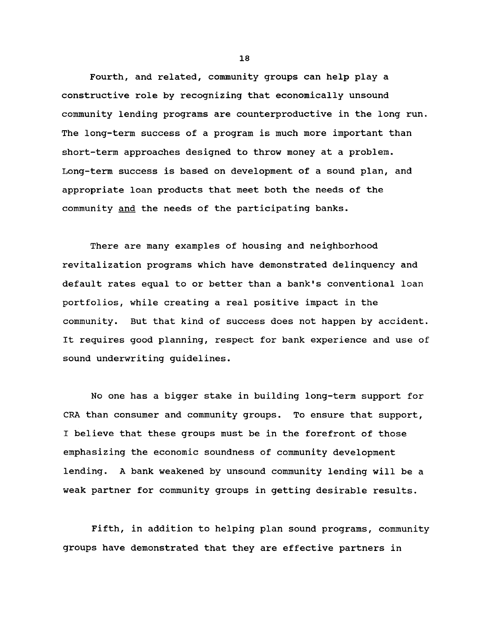**Fourth, and related, community groups can help play a constructive role by recognizing that economically unsound community lending programs are counterproductive in the long run. The long-term success of a program is much more important than short-term approaches designed to throw money at a problem. Long-term success is based on development of a sound plan, and appropriate loan products that meet both the needs of the community and the needs of the participating banks.**

**There are many examples of housing and neighborhood revitalization programs which have demonstrated delinquency and default rates equal to or better than a bank's conventional loan portfolios, while creating a real positive impact in the community. But that kind of success does not happen by accident. It requires good planning, respect for bank experience and use of sound underwriting guidelines.**

**No one has a bigger stake in building long-term support for CRA than consumer and community groups. To ensure that support, I believe that these groups must be in the forefront of those emphasizing the economic soundness of community development lending. A bank weakened by unsound community lending will be a weak partner for community groups in getting desirable results.**

**Fifth, in addition to helping plan sound programs, community groups have demonstrated that they are effective partners in**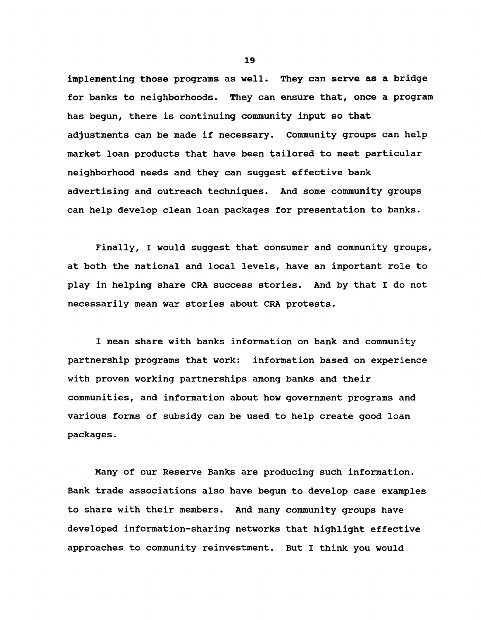**implementing those programs as well. They can serve as a bridge for banks to neighborhoods. They can ensure that, once a program has begun, there is continuing community input so that adjustments can be made if necessary. Community groups can help market loan products that have been tailored to meet particular neighborhood needs and they can suggest effective bank advertising and outreach techniques. And some community groups can help develop clean loan packages for presentation to banks.**

**Finally, I would suggest that consumer and community groups, at both the national and local levels, have an important role to play in helping share CRA success stories. And by that I do not necessarily mean war stories about CRA protests.**

**I mean share with banks information on bank and community partnership programs that work: information based on experience with proven working partnerships among banks and their communities, and information about how government programs and various forms of subsidy can be used to help create good loan packages.**

**Many of our Reserve Banks are producing such information. Bank trade associations also have begun to develop case examples to share with their members. And many community groups have developed information-sharing networks that highlight effective approaches to community reinvestment. But I think you would**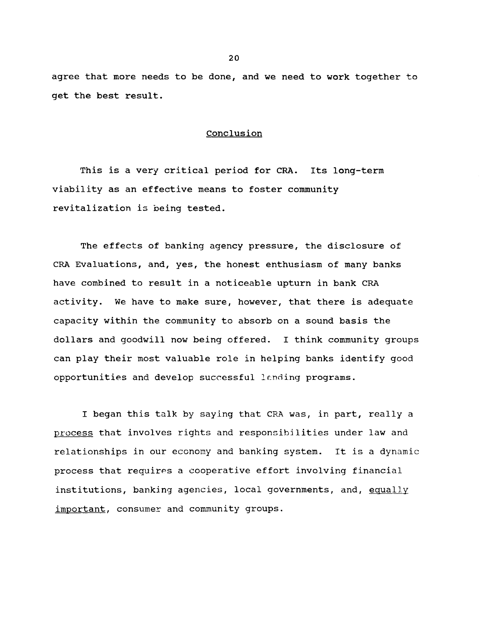**agree that more needs to be done, and we need to work together to get the best result.**

#### **Conclusion**

**This is a very critical period for CRA. Its long-term viability as an effective means to foster community revitalization is being tested.**

**The effects of banking agency pressure, the disclosure of CRA Evaluations, and, yes, the honest enthusiasm of many banks have combined to result in a noticeable upturn in bank CRA activity. We have to make sure, however, that there is adequate capacity within the community to absorb on a sound basis the dollars and goodwill now being offered. I think community groups can play their most valuable role in helping banks identify good opportunities and develop successful lending programs.**

**I began this talk by saying that CRA was, in part, really a process that involves rights and responsibilities under law and relationships in our economy and banking system. It is a dynamic process that requires a cooperative effort involving financial institutions, banking agencies, local governments, and, equally important. consumer and community groups.**